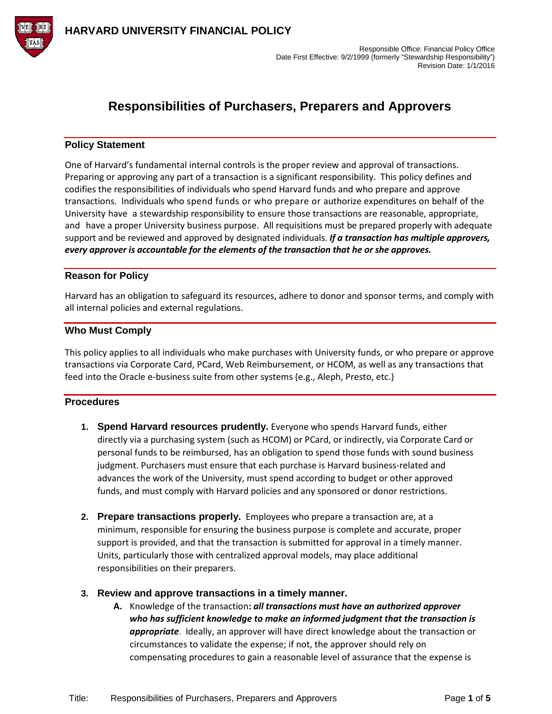

## **Responsibilities of Purchasers, Preparers and Approvers**

## **Policy Statement**

One of Harvard's fundamental internal controls is the proper review and approval of transactions. Preparing or approving any part of a transaction is a significant responsibility. This policy defines and codifies the responsibilities of individuals who spend Harvard funds and who prepare and approve transactions. Individuals who spend funds or who prepare or authorize expenditures on behalf of the University have a stewardship responsibility to ensure those transactions are reasonable, appropriate, and have a proper University business purpose. All requisitions must be prepared properly with adequate support and be reviewed and approved by designated individuals. *If a transaction has multiple approvers, every approver is accountable for the elements of the transaction that he or she approves.*

## **Reason for Policy**

Harvard has an obligation to safeguard its resources, adhere to donor and sponsor terms, and comply with all internal policies and external regulations.

## **Who Must Comply**

This policy applies to all individuals who make purchases with University funds, or who prepare or approve transactions via Corporate Card, PCard, Web Reimbursement, or HCOM, as well as any transactions that feed into the Oracle e-business suite from other systems (e.g., Aleph, Presto, etc.)

## **Procedures**

- **1. Spend Harvard resources prudently.** Everyone who spends Harvard funds, either directly via a purchasing system (such as HCOM) or PCard, or indirectly, via Corporate Card or personal funds to be reimbursed, has an obligation to spend those funds with sound business judgment. Purchasers must ensure that each purchase is Harvard business-related and advances the work of the University, must spend according to budget or other approved funds, and must comply with Harvard policies and any sponsored or donor restrictions.
- **2. Prepare transactions properly.** Employees who prepare a transaction are, at a minimum, responsible for ensuring the business purpose is complete and accurate, proper support is provided, and that the transaction is submitted for approval in a timely manner. Units, particularly those with centralized approval models, may place additional responsibilities on their preparers.

## **3. Review and approve transactions in a timely manner.**

**A.** Knowledge of the transaction**:** *all transactions must have an authorized approver who has sufficient knowledge to make an informed judgment that the transaction is appropriate*. Ideally, an approver will have direct knowledge about the transaction or circumstances to validate the expense; if not, the approver should rely on compensating procedures to gain a reasonable level of assurance that the expense is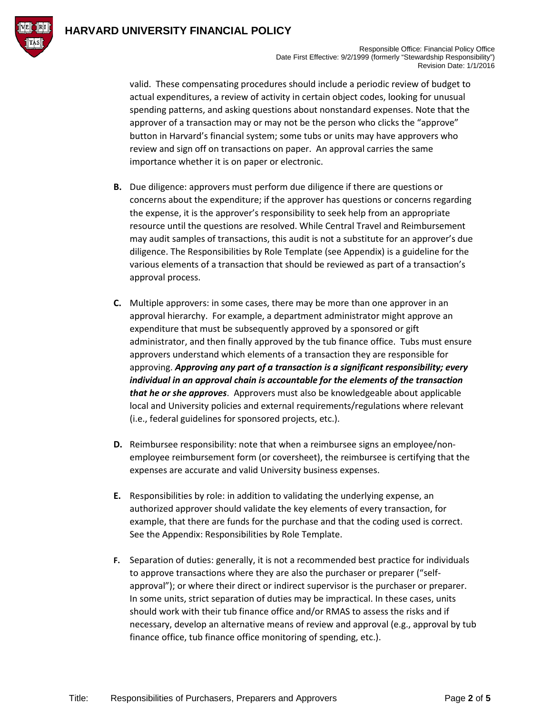

valid. These compensating procedures should include a periodic review of budget to actual expenditures, a review of activity in certain object codes, looking for unusual spending patterns, and asking questions about nonstandard expenses. Note that the approver of a transaction may or may not be the person who clicks the "approve" button in Harvard's financial system; some tubs or units may have approvers who review and sign off on transactions on paper. An approval carries the same importance whether it is on paper or electronic.

- **B.** Due diligence: approvers must perform due diligence if there are questions or concerns about the expenditure; if the approver has questions or concerns regarding the expense, it is the approver's responsibility to seek help from an appropriate resource until the questions are resolved. While Central Travel and Reimbursement may audit samples of transactions, this audit is not a substitute for an approver's due diligence. The Responsibilities by Role Template (see Appendix) is a guideline for the various elements of a transaction that should be reviewed as part of a transaction's approval process.
- **C.** Multiple approvers: in some cases, there may be more than one approver in an approval hierarchy. For example, a department administrator might approve an expenditure that must be subsequently approved by a sponsored or gift administrator, and then finally approved by the tub finance office. Tubs must ensure approvers understand which elements of a transaction they are responsible for approving. *Approving any part of a transaction is a significant responsibility; every individual in an approval chain is accountable for the elements of the transaction that he or she approves*. Approvers must also be knowledgeable about applicable local and University policies and external requirements/regulations where relevant (i.e., federal guidelines for sponsored projects, etc.).
- **D.** Reimbursee responsibility: note that when a reimbursee signs an employee/nonemployee reimbursement form (or coversheet), the reimbursee is certifying that the expenses are accurate and valid University business expenses.
- **E.** Responsibilities by role: in addition to validating the underlying expense, an authorized approver should validate the key elements of every transaction, for example, that there are funds for the purchase and that the coding used is correct. See the Appendix: Responsibilities by Role Template.
- **F.** Separation of duties: generally, it is not a recommended best practice for individuals to approve transactions where they are also the purchaser or preparer ("selfapproval"); or where their direct or indirect supervisor is the purchaser or preparer. In some units, strict separation of duties may be impractical. In these cases, units should work with their tub finance office and/or RMAS to assess the risks and if necessary, develop an alternative means of review and approval (e.g., approval by tub finance office, tub finance office monitoring of spending, etc.).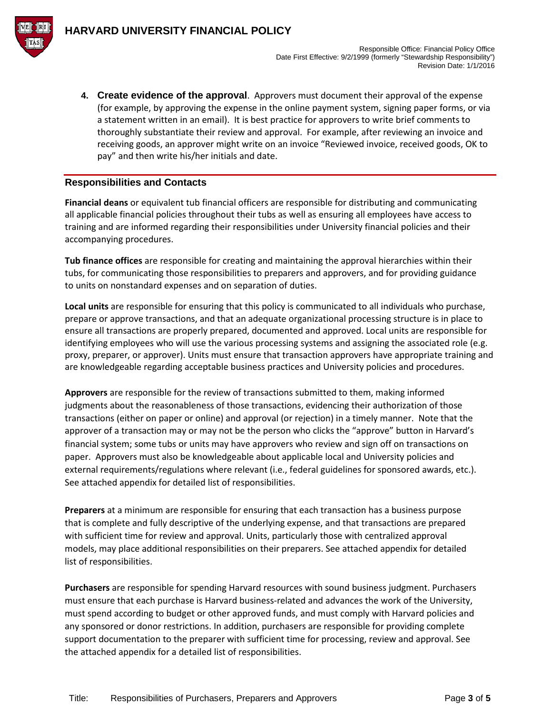

**4. Create evidence of the approval**. Approvers must document their approval of the expense (for example, by approving the expense in the online payment system, signing paper forms, or via a statement written in an email). It is best practice for approvers to write brief comments to thoroughly substantiate their review and approval. For example, after reviewing an invoice and receiving goods, an approver might write on an invoice "Reviewed invoice, received goods, OK to pay" and then write his/her initials and date.

## **Responsibilities and Contacts**

**Financial deans** or equivalent tub financial officers are responsible for distributing and communicating all applicable financial policies throughout their tubs as well as ensuring all employees have access to training and are informed regarding their responsibilities under University financial policies and their accompanying procedures.

**Tub finance offices** are responsible for creating and maintaining the approval hierarchies within their tubs, for communicating those responsibilities to preparers and approvers, and for providing guidance to units on nonstandard expenses and on separation of duties.

**Local units** are responsible for ensuring that this policy is communicated to all individuals who purchase, prepare or approve transactions, and that an adequate organizational processing structure is in place to ensure all transactions are properly prepared, documented and approved. Local units are responsible for identifying employees who will use the various processing systems and assigning the associated role (e.g. proxy, preparer, or approver). Units must ensure that transaction approvers have appropriate training and are knowledgeable regarding acceptable business practices and University policies and procedures.

**Approvers** are responsible for the review of transactions submitted to them, making informed judgments about the reasonableness of those transactions, evidencing their authorization of those transactions (either on paper or online) and approval (or rejection) in a timely manner. Note that the approver of a transaction may or may not be the person who clicks the "approve" button in Harvard's financial system; some tubs or units may have approvers who review and sign off on transactions on paper. Approvers must also be knowledgeable about applicable local and University policies and external requirements/regulations where relevant (i.e., federal guidelines for sponsored awards, etc.). See attached appendix for detailed list of responsibilities.

**Preparers** at a minimum are responsible for ensuring that each transaction has a business purpose that is complete and fully descriptive of the underlying expense, and that transactions are prepared with sufficient time for review and approval. Units, particularly those with centralized approval models, may place additional responsibilities on their preparers. See attached appendix for detailed list of responsibilities.

**Purchasers** are responsible for spending Harvard resources with sound business judgment. Purchasers must ensure that each purchase is Harvard business-related and advances the work of the University, must spend according to budget or other approved funds, and must comply with Harvard policies and any sponsored or donor restrictions. In addition, purchasers are responsible for providing complete support documentation to the preparer with sufficient time for processing, review and approval. See the attached appendix for a detailed list of responsibilities.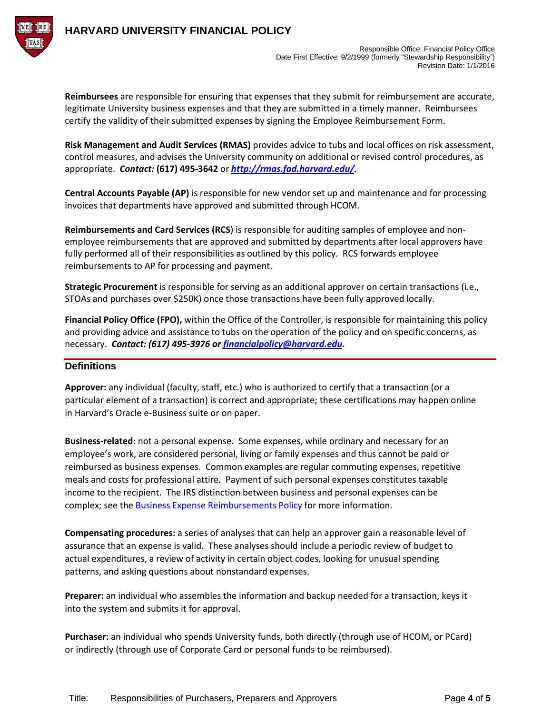

**Reimbursees** are responsible for ensuring that expenses that they submit for reimbursement are accurate, legitimate University business expenses and that they are submitted in a timely manner. Reimbursees certify the validity of their submitted expenses by signing the Employee Reimbursement Form.

**Risk Management and Audit Services (RMAS)** provides advice to tubs and local offices on risk assessment, control measures, and advises the University community on additional or revised control procedures, as appropriate. *Contact:* **(617) 495-3642** or *[http://rmas.fad.harvard.edu/.](http://rmas.fad.harvard.edu/)*

**Central Accounts Payable (AP)** is responsible for new vendor set up and maintenance and for processing invoices that departments have approved and submitted through HCOM.

**Reimbursements and Card Services (RCS**) is responsible for auditing samples of employee and nonemployee reimbursements that are approved and submitted by departments after local approvers have fully performed all of their responsibilities as outlined by this policy. RCS forwards employee reimbursements to AP for processing and payment.

**Strategic Procurement** is responsible for serving as an additional approver on certain transactions (i.e., STOAs and purchases over \$250K) once those transactions have been fully approved locally.

**Financial Policy Office (FPO),** within the Office of the Controller, is responsible for maintaining this policy and providing advice and assistance to tubs on the operation of the policy and on specific concerns, as necessary. *Contact: (617) 495-3976 o[r financialpolicy@harvard.edu.](mailto:financialpolicy@harvard.edu)* 

## **Definitions**

**Approver:** any individual (faculty, staff, etc.) who is authorized to certify that a transaction (or a particular element of a transaction) is correct and appropriate; these certifications may happen online in Harvard's Oracle e-Business suite or on paper.

**Business-related**: not a personal expense. Some expenses, while ordinary and necessary for an employee's work, are considered personal, living or family expenses and thus cannot be paid or reimbursed as business expenses. Common examples are regular commuting expenses, repetitive meals and costs for professional attire. Payment of such personal expenses constitutes taxable income to the recipient. The IRS distinction between business and personal expenses can be complex; see the [Business Expense Reimbursements Policy](http://policies.fad.harvard.edu/pages/business_expense_reimbursements) for more information.

**Compensating procedures:** a series of analyses that can help an approver gain a reasonable level of assurance that an expense is valid. These analyses should include a periodic review of budget to actual expenditures, a review of activity in certain object codes, looking for unusual spending patterns, and asking questions about nonstandard expenses.

**Preparer:** an individual who assembles the information and backup needed for a transaction, keys it into the system and submits it for approval.

**Purchaser:** an individual who spends University funds, both directly (through use of HCOM, or PCard) or indirectly (through use of Corporate Card or personal funds to be reimbursed).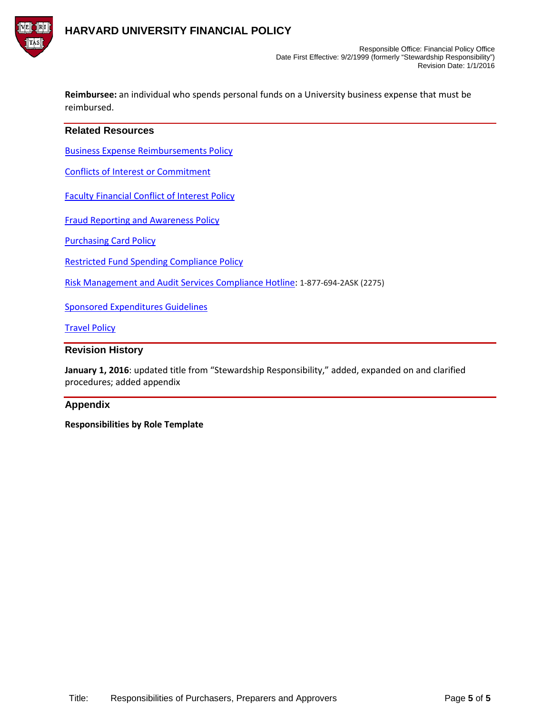

**Reimbursee:** an individual who spends personal funds on a University business expense that must be reimbursed.

## **Related Resources**

[Business Expense Reimbursements](http://policies.fad.harvard.edu/pages/business_expense_reimbursements) Policy

Conflicts of Interest or [Commitment](http://hr.harvard.edu/staff-personnel-manual/general-employment-policies/conflicts-interest-or-commitment)

[Faculty Financial Conflict of Interest Policy](http://vpr.harvard.edu/pages/financial-conflict-interest-policy)

[Fraud Reporting and Awareness Policy](http://policies.fad.harvard.edu/pages/fraud)

[Purchasing Card Policy](http://policies.fad.harvard.edu/pages/purchasing-card)

[Restricted Fund Spending Compliance](http://policies.fad.harvard.edu/pages/restricted-fund-spending-compliance) Policy

[Risk Management and Audit Services Compliance Hotline:](http://rmas.fad.harvard.edu/pages/compliance-hotline) 1-877-694-2ASK (2275)

[Sponsored Expenditures Guidelines](http://osp.finance.harvard.edu/sponsored-expenditures-guidelines)

[Travel Policy](http://policies.fad.harvard.edu/pages/travel-0)

#### **Revision History**

**January 1, 2016**: updated title from "Stewardship Responsibility," added, expanded on and clarified procedures; added appendix

## **Appendix**

**Responsibilities by Role Template**